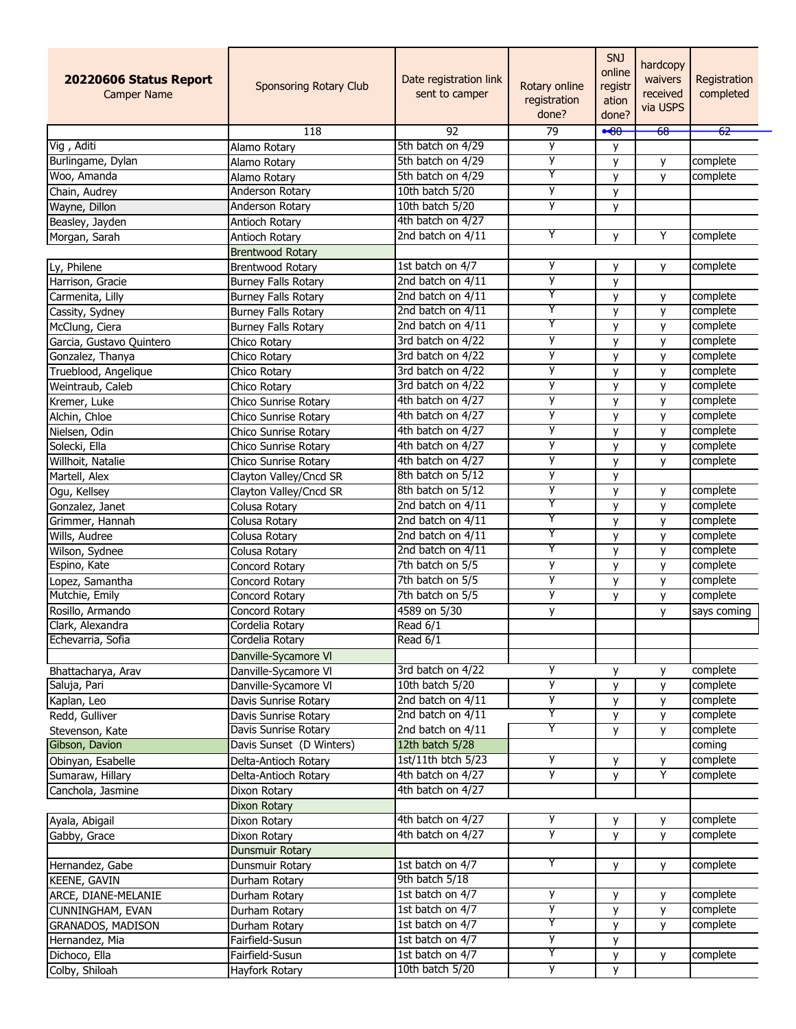| 92<br>79<br>-62<br>$\overline{118}$<br>$-80$<br><del>68</del><br>y<br>Vig, Aditi<br>5th batch on 4/29<br>Alamo Rotary<br>y<br>y<br>Burlingame, Dylan<br>5th batch on 4/29<br>complete<br>Alamo Rotary<br>y<br>у<br>Y<br>Woo, Amanda<br>5th batch on 4/29<br>complete<br>Alamo Rotary<br>y<br>y<br>y<br>10th batch 5/20<br>Anderson Rotary<br>y<br>Chain, Audrey<br>y<br>10th batch 5/20<br>Anderson Rotary<br>Wayne, Dillon<br>y<br>4th batch on 4/27<br>Beasley, Jayden<br>Antioch Rotary<br>Y<br>Υ<br>2nd batch on 4/11<br>complete<br>Antioch Rotary<br>y<br>Morgan, Sarah<br><b>Brentwood Rotary</b><br>1st batch on 4/7<br>y<br>Ly, Philene<br>complete<br><b>Brentwood Rotary</b><br>y<br>у<br>y<br>2nd batch on 4/11<br>Harrison, Gracie<br><b>Burney Falls Rotary</b><br>y<br>Y<br>2nd batch on 4/11<br>complete<br>Carmenita, Lilly<br>y<br><b>Burney Falls Rotary</b><br>y<br>Y<br>2nd batch on 4/11<br>Burney Falls Rotary<br>y<br>complete<br>Cassity, Sydney<br>y<br>Y<br>2nd batch on 4/11<br>complete<br>McClung, Ciera<br>y<br><b>Burney Falls Rotary</b><br>у<br>y<br>3rd batch on 4/22<br>y<br>complete<br>Garcia, Gustavo Quintero<br>y<br>Chico Rotary<br>y<br>3rd batch on 4/22<br>y<br>complete<br>Gonzalez, Thanya<br>Chico Rotary<br>y<br>3rd batch on 4/22<br>у<br>Trueblood, Angelique<br>y<br>y<br>complete<br>Chico Rotary<br>y<br>3rd batch on 4/22<br>Weintraub, Caleb<br>complete<br>y<br>y<br>Chico Rotary<br>4th batch on 4/27<br>y<br>complete<br>y<br>Chico Sunrise Rotary<br>y<br>4th batch on 4/27<br>y<br>complete<br>Alchin, Chloe<br>Chico Sunrise Rotary<br>y<br>y<br>у<br>4th batch on 4/27<br>complete<br>Nielsen, Odin<br>Chico Sunrise Rotary<br>y<br>у<br>4th batch on 4/27<br>у<br>complete<br>Solecki, Ella<br>Chico Sunrise Rotary<br>y<br>у<br>у<br>4th batch on 4/27<br>complete<br>Willhoit, Natalie<br>Chico Sunrise Rotary<br>y<br>у<br>y<br>8th batch on 5/12<br>Martell, Alex<br>Clayton Valley/Cncd SR<br>y<br>у<br>8th batch on 5/12<br>complete<br>Ogu, Kellsey<br>Clayton Valley/Cncd SR<br>y<br>y<br>Y<br>2nd batch on 4/11<br>complete<br>y<br>Gonzalez, Janet<br>y<br>Colusa Rotary<br>Y<br>2nd batch on 4/11<br>y<br>complete<br>Grimmer, Hannah<br>Colusa Rotary<br>y<br>Y<br>2nd batch on 4/11<br>complete<br>Wills, Audree<br>Colusa Rotary<br>y<br>y<br>Y<br>2nd batch on 4/11<br>complete<br>Wilson, Sydnee<br>Colusa Rotary<br>y<br>y<br>7th batch on 5/5<br>y<br>Espino, Kate<br>y<br>y<br>complete<br>Concord Rotary<br>у<br>7th batch on 5/5<br>complete<br>Lopez, Samantha<br>y<br>y<br>Concord Rotary<br>7th batch on 5/5<br>у<br>Mutchie, Emily<br>complete<br>Concord Rotary<br>у<br>y<br>Rosillo, Armando<br>Concord Rotary<br>4589 on 5/30<br>y<br>says coming<br>y<br>Read 6/1<br>Cordelia Rotary<br>Echevarria, Sofia<br>Read 6/1<br>Cordelia Rotary<br>Danville-Sycamore VI<br>3rd batch on 4/22<br>у<br>complete<br>Danville-Sycamore VI<br>Bhattacharya, Arav<br>у<br>у<br>y<br>10th batch 5/20<br>Saluja, Pari<br>complete<br>Danville-Sycamore VI<br>у<br>у<br>у<br>2nd batch on 4/11<br>complete<br>у<br>Kaplan, Leo<br>Davis Sunrise Rotary<br>у<br>Y<br>2nd batch on 4/11<br>Redd, Gulliver<br>y<br>complete<br>Davis Sunrise Rotary<br>y<br>Y<br>Davis Sunrise Rotary<br>2nd batch on 4/11<br>Stevenson, Kate<br>complete<br>y<br>y<br>Davis Sunset (D Winters)<br>12th batch 5/28<br>Gibson, Davion<br>coming<br>y<br>1st/11th btch 5/23<br>complete<br>Obinyan, Esabelle<br>Delta-Antioch Rotary<br>y<br>y<br>Y<br>4th batch on 4/27<br>y<br>complete<br>у<br>Sumaraw, Hillary<br>Delta-Antioch Rotary<br>4th batch on 4/27<br>Canchola, Jasmine<br>Dixon Rotary<br><b>Dixon Rotary</b><br>4th batch on 4/27<br>complete<br>у<br>Ayala, Abigail<br>Dixon Rotary<br>у<br>у<br>y<br>4th batch on 4/27<br>y<br>complete<br>Gabby, Grace<br>Dixon Rotary<br>у<br>Dunsmuir Rotary<br>Y<br>1st batch on 4/7<br>complete<br>Dunsmuir Rotary<br>у<br>у<br>9th batch 5/18<br><b>KEENE, GAVIN</b><br>Durham Rotary<br>y<br>1st batch on 4/7<br>complete<br>ARCE, DIANE-MELANIE<br>Durham Rotary<br>y<br>у<br>у<br>1st batch on 4/7<br><b>CUNNINGHAM, EVAN</b><br>complete<br>Durham Rotary<br>y<br>y<br>Y<br>1st batch on 4/7<br><b>GRANADOS, MADISON</b><br>y<br>complete<br>Durham Rotary<br>y<br>1st batch on 4/7<br>у<br>y<br>Hernandez, Mia<br>Fairfield-Susun<br>Y<br>1st batch on 4/7<br>complete<br>Dichoco, Ella<br>Fairfield-Susun<br>y<br>У<br>10th batch 5/20<br>y<br>Colby, Shiloah<br>y<br>Hayfork Rotary | 20220606 Status Report<br><b>Camper Name</b> | Sponsoring Rotary Club | Date registration link<br>sent to camper | Rotary online<br>registration<br>done? | SNJ<br>online<br>registr<br>ation<br>done? | hardcopy<br>waivers<br>received<br>via USPS | Registration<br>completed |
|-----------------------------------------------------------------------------------------------------------------------------------------------------------------------------------------------------------------------------------------------------------------------------------------------------------------------------------------------------------------------------------------------------------------------------------------------------------------------------------------------------------------------------------------------------------------------------------------------------------------------------------------------------------------------------------------------------------------------------------------------------------------------------------------------------------------------------------------------------------------------------------------------------------------------------------------------------------------------------------------------------------------------------------------------------------------------------------------------------------------------------------------------------------------------------------------------------------------------------------------------------------------------------------------------------------------------------------------------------------------------------------------------------------------------------------------------------------------------------------------------------------------------------------------------------------------------------------------------------------------------------------------------------------------------------------------------------------------------------------------------------------------------------------------------------------------------------------------------------------------------------------------------------------------------------------------------------------------------------------------------------------------------------------------------------------------------------------------------------------------------------------------------------------------------------------------------------------------------------------------------------------------------------------------------------------------------------------------------------------------------------------------------------------------------------------------------------------------------------------------------------------------------------------------------------------------------------------------------------------------------------------------------------------------------------------------------------------------------------------------------------------------------------------------------------------------------------------------------------------------------------------------------------------------------------------------------------------------------------------------------------------------------------------------------------------------------------------------------------------------------------------------------------------------------------------------------------------------------------------------------------------------------------------------------------------------------------------------------------------------------------------------------------------------------------------------------------------------------------------------------------------------------------------------------------------------------------------------------------------------------------------------------------------------------------------------------------------------------------------------------------------------------------------------------------------------------------------------------------------------------------------------------------------------------------------------------------------------------------------------------------------------------------------------------------------------------------------------------------------------------------------------------------------------------------------------------------------------------------------------------------------------------------------------------------------------------------------------------------------------------------------------------------------------------------------------------------------------------------------------------------------|----------------------------------------------|------------------------|------------------------------------------|----------------------------------------|--------------------------------------------|---------------------------------------------|---------------------------|
|                                                                                                                                                                                                                                                                                                                                                                                                                                                                                                                                                                                                                                                                                                                                                                                                                                                                                                                                                                                                                                                                                                                                                                                                                                                                                                                                                                                                                                                                                                                                                                                                                                                                                                                                                                                                                                                                                                                                                                                                                                                                                                                                                                                                                                                                                                                                                                                                                                                                                                                                                                                                                                                                                                                                                                                                                                                                                                                                                                                                                                                                                                                                                                                                                                                                                                                                                                                                                                                                                                                                                                                                                                                                                                                                                                                                                                                                                                                                                                                                                                                                                                                                                                                                                                                                                                                                                                                                                                                                                                           |                                              |                        |                                          |                                        |                                            |                                             |                           |
|                                                                                                                                                                                                                                                                                                                                                                                                                                                                                                                                                                                                                                                                                                                                                                                                                                                                                                                                                                                                                                                                                                                                                                                                                                                                                                                                                                                                                                                                                                                                                                                                                                                                                                                                                                                                                                                                                                                                                                                                                                                                                                                                                                                                                                                                                                                                                                                                                                                                                                                                                                                                                                                                                                                                                                                                                                                                                                                                                                                                                                                                                                                                                                                                                                                                                                                                                                                                                                                                                                                                                                                                                                                                                                                                                                                                                                                                                                                                                                                                                                                                                                                                                                                                                                                                                                                                                                                                                                                                                                           |                                              |                        |                                          |                                        |                                            |                                             |                           |
|                                                                                                                                                                                                                                                                                                                                                                                                                                                                                                                                                                                                                                                                                                                                                                                                                                                                                                                                                                                                                                                                                                                                                                                                                                                                                                                                                                                                                                                                                                                                                                                                                                                                                                                                                                                                                                                                                                                                                                                                                                                                                                                                                                                                                                                                                                                                                                                                                                                                                                                                                                                                                                                                                                                                                                                                                                                                                                                                                                                                                                                                                                                                                                                                                                                                                                                                                                                                                                                                                                                                                                                                                                                                                                                                                                                                                                                                                                                                                                                                                                                                                                                                                                                                                                                                                                                                                                                                                                                                                                           |                                              |                        |                                          |                                        |                                            |                                             |                           |
|                                                                                                                                                                                                                                                                                                                                                                                                                                                                                                                                                                                                                                                                                                                                                                                                                                                                                                                                                                                                                                                                                                                                                                                                                                                                                                                                                                                                                                                                                                                                                                                                                                                                                                                                                                                                                                                                                                                                                                                                                                                                                                                                                                                                                                                                                                                                                                                                                                                                                                                                                                                                                                                                                                                                                                                                                                                                                                                                                                                                                                                                                                                                                                                                                                                                                                                                                                                                                                                                                                                                                                                                                                                                                                                                                                                                                                                                                                                                                                                                                                                                                                                                                                                                                                                                                                                                                                                                                                                                                                           |                                              |                        |                                          |                                        |                                            |                                             |                           |
|                                                                                                                                                                                                                                                                                                                                                                                                                                                                                                                                                                                                                                                                                                                                                                                                                                                                                                                                                                                                                                                                                                                                                                                                                                                                                                                                                                                                                                                                                                                                                                                                                                                                                                                                                                                                                                                                                                                                                                                                                                                                                                                                                                                                                                                                                                                                                                                                                                                                                                                                                                                                                                                                                                                                                                                                                                                                                                                                                                                                                                                                                                                                                                                                                                                                                                                                                                                                                                                                                                                                                                                                                                                                                                                                                                                                                                                                                                                                                                                                                                                                                                                                                                                                                                                                                                                                                                                                                                                                                                           |                                              |                        |                                          |                                        |                                            |                                             |                           |
|                                                                                                                                                                                                                                                                                                                                                                                                                                                                                                                                                                                                                                                                                                                                                                                                                                                                                                                                                                                                                                                                                                                                                                                                                                                                                                                                                                                                                                                                                                                                                                                                                                                                                                                                                                                                                                                                                                                                                                                                                                                                                                                                                                                                                                                                                                                                                                                                                                                                                                                                                                                                                                                                                                                                                                                                                                                                                                                                                                                                                                                                                                                                                                                                                                                                                                                                                                                                                                                                                                                                                                                                                                                                                                                                                                                                                                                                                                                                                                                                                                                                                                                                                                                                                                                                                                                                                                                                                                                                                                           |                                              |                        |                                          |                                        |                                            |                                             |                           |
|                                                                                                                                                                                                                                                                                                                                                                                                                                                                                                                                                                                                                                                                                                                                                                                                                                                                                                                                                                                                                                                                                                                                                                                                                                                                                                                                                                                                                                                                                                                                                                                                                                                                                                                                                                                                                                                                                                                                                                                                                                                                                                                                                                                                                                                                                                                                                                                                                                                                                                                                                                                                                                                                                                                                                                                                                                                                                                                                                                                                                                                                                                                                                                                                                                                                                                                                                                                                                                                                                                                                                                                                                                                                                                                                                                                                                                                                                                                                                                                                                                                                                                                                                                                                                                                                                                                                                                                                                                                                                                           |                                              |                        |                                          |                                        |                                            |                                             |                           |
|                                                                                                                                                                                                                                                                                                                                                                                                                                                                                                                                                                                                                                                                                                                                                                                                                                                                                                                                                                                                                                                                                                                                                                                                                                                                                                                                                                                                                                                                                                                                                                                                                                                                                                                                                                                                                                                                                                                                                                                                                                                                                                                                                                                                                                                                                                                                                                                                                                                                                                                                                                                                                                                                                                                                                                                                                                                                                                                                                                                                                                                                                                                                                                                                                                                                                                                                                                                                                                                                                                                                                                                                                                                                                                                                                                                                                                                                                                                                                                                                                                                                                                                                                                                                                                                                                                                                                                                                                                                                                                           |                                              |                        |                                          |                                        |                                            |                                             |                           |
|                                                                                                                                                                                                                                                                                                                                                                                                                                                                                                                                                                                                                                                                                                                                                                                                                                                                                                                                                                                                                                                                                                                                                                                                                                                                                                                                                                                                                                                                                                                                                                                                                                                                                                                                                                                                                                                                                                                                                                                                                                                                                                                                                                                                                                                                                                                                                                                                                                                                                                                                                                                                                                                                                                                                                                                                                                                                                                                                                                                                                                                                                                                                                                                                                                                                                                                                                                                                                                                                                                                                                                                                                                                                                                                                                                                                                                                                                                                                                                                                                                                                                                                                                                                                                                                                                                                                                                                                                                                                                                           |                                              |                        |                                          |                                        |                                            |                                             |                           |
|                                                                                                                                                                                                                                                                                                                                                                                                                                                                                                                                                                                                                                                                                                                                                                                                                                                                                                                                                                                                                                                                                                                                                                                                                                                                                                                                                                                                                                                                                                                                                                                                                                                                                                                                                                                                                                                                                                                                                                                                                                                                                                                                                                                                                                                                                                                                                                                                                                                                                                                                                                                                                                                                                                                                                                                                                                                                                                                                                                                                                                                                                                                                                                                                                                                                                                                                                                                                                                                                                                                                                                                                                                                                                                                                                                                                                                                                                                                                                                                                                                                                                                                                                                                                                                                                                                                                                                                                                                                                                                           |                                              |                        |                                          |                                        |                                            |                                             |                           |
|                                                                                                                                                                                                                                                                                                                                                                                                                                                                                                                                                                                                                                                                                                                                                                                                                                                                                                                                                                                                                                                                                                                                                                                                                                                                                                                                                                                                                                                                                                                                                                                                                                                                                                                                                                                                                                                                                                                                                                                                                                                                                                                                                                                                                                                                                                                                                                                                                                                                                                                                                                                                                                                                                                                                                                                                                                                                                                                                                                                                                                                                                                                                                                                                                                                                                                                                                                                                                                                                                                                                                                                                                                                                                                                                                                                                                                                                                                                                                                                                                                                                                                                                                                                                                                                                                                                                                                                                                                                                                                           |                                              |                        |                                          |                                        |                                            |                                             |                           |
|                                                                                                                                                                                                                                                                                                                                                                                                                                                                                                                                                                                                                                                                                                                                                                                                                                                                                                                                                                                                                                                                                                                                                                                                                                                                                                                                                                                                                                                                                                                                                                                                                                                                                                                                                                                                                                                                                                                                                                                                                                                                                                                                                                                                                                                                                                                                                                                                                                                                                                                                                                                                                                                                                                                                                                                                                                                                                                                                                                                                                                                                                                                                                                                                                                                                                                                                                                                                                                                                                                                                                                                                                                                                                                                                                                                                                                                                                                                                                                                                                                                                                                                                                                                                                                                                                                                                                                                                                                                                                                           |                                              |                        |                                          |                                        |                                            |                                             |                           |
|                                                                                                                                                                                                                                                                                                                                                                                                                                                                                                                                                                                                                                                                                                                                                                                                                                                                                                                                                                                                                                                                                                                                                                                                                                                                                                                                                                                                                                                                                                                                                                                                                                                                                                                                                                                                                                                                                                                                                                                                                                                                                                                                                                                                                                                                                                                                                                                                                                                                                                                                                                                                                                                                                                                                                                                                                                                                                                                                                                                                                                                                                                                                                                                                                                                                                                                                                                                                                                                                                                                                                                                                                                                                                                                                                                                                                                                                                                                                                                                                                                                                                                                                                                                                                                                                                                                                                                                                                                                                                                           |                                              |                        |                                          |                                        |                                            |                                             |                           |
|                                                                                                                                                                                                                                                                                                                                                                                                                                                                                                                                                                                                                                                                                                                                                                                                                                                                                                                                                                                                                                                                                                                                                                                                                                                                                                                                                                                                                                                                                                                                                                                                                                                                                                                                                                                                                                                                                                                                                                                                                                                                                                                                                                                                                                                                                                                                                                                                                                                                                                                                                                                                                                                                                                                                                                                                                                                                                                                                                                                                                                                                                                                                                                                                                                                                                                                                                                                                                                                                                                                                                                                                                                                                                                                                                                                                                                                                                                                                                                                                                                                                                                                                                                                                                                                                                                                                                                                                                                                                                                           |                                              |                        |                                          |                                        |                                            |                                             |                           |
|                                                                                                                                                                                                                                                                                                                                                                                                                                                                                                                                                                                                                                                                                                                                                                                                                                                                                                                                                                                                                                                                                                                                                                                                                                                                                                                                                                                                                                                                                                                                                                                                                                                                                                                                                                                                                                                                                                                                                                                                                                                                                                                                                                                                                                                                                                                                                                                                                                                                                                                                                                                                                                                                                                                                                                                                                                                                                                                                                                                                                                                                                                                                                                                                                                                                                                                                                                                                                                                                                                                                                                                                                                                                                                                                                                                                                                                                                                                                                                                                                                                                                                                                                                                                                                                                                                                                                                                                                                                                                                           |                                              |                        |                                          |                                        |                                            |                                             |                           |
|                                                                                                                                                                                                                                                                                                                                                                                                                                                                                                                                                                                                                                                                                                                                                                                                                                                                                                                                                                                                                                                                                                                                                                                                                                                                                                                                                                                                                                                                                                                                                                                                                                                                                                                                                                                                                                                                                                                                                                                                                                                                                                                                                                                                                                                                                                                                                                                                                                                                                                                                                                                                                                                                                                                                                                                                                                                                                                                                                                                                                                                                                                                                                                                                                                                                                                                                                                                                                                                                                                                                                                                                                                                                                                                                                                                                                                                                                                                                                                                                                                                                                                                                                                                                                                                                                                                                                                                                                                                                                                           |                                              |                        |                                          |                                        |                                            |                                             |                           |
|                                                                                                                                                                                                                                                                                                                                                                                                                                                                                                                                                                                                                                                                                                                                                                                                                                                                                                                                                                                                                                                                                                                                                                                                                                                                                                                                                                                                                                                                                                                                                                                                                                                                                                                                                                                                                                                                                                                                                                                                                                                                                                                                                                                                                                                                                                                                                                                                                                                                                                                                                                                                                                                                                                                                                                                                                                                                                                                                                                                                                                                                                                                                                                                                                                                                                                                                                                                                                                                                                                                                                                                                                                                                                                                                                                                                                                                                                                                                                                                                                                                                                                                                                                                                                                                                                                                                                                                                                                                                                                           |                                              |                        |                                          |                                        |                                            |                                             |                           |
|                                                                                                                                                                                                                                                                                                                                                                                                                                                                                                                                                                                                                                                                                                                                                                                                                                                                                                                                                                                                                                                                                                                                                                                                                                                                                                                                                                                                                                                                                                                                                                                                                                                                                                                                                                                                                                                                                                                                                                                                                                                                                                                                                                                                                                                                                                                                                                                                                                                                                                                                                                                                                                                                                                                                                                                                                                                                                                                                                                                                                                                                                                                                                                                                                                                                                                                                                                                                                                                                                                                                                                                                                                                                                                                                                                                                                                                                                                                                                                                                                                                                                                                                                                                                                                                                                                                                                                                                                                                                                                           |                                              |                        |                                          |                                        |                                            |                                             |                           |
|                                                                                                                                                                                                                                                                                                                                                                                                                                                                                                                                                                                                                                                                                                                                                                                                                                                                                                                                                                                                                                                                                                                                                                                                                                                                                                                                                                                                                                                                                                                                                                                                                                                                                                                                                                                                                                                                                                                                                                                                                                                                                                                                                                                                                                                                                                                                                                                                                                                                                                                                                                                                                                                                                                                                                                                                                                                                                                                                                                                                                                                                                                                                                                                                                                                                                                                                                                                                                                                                                                                                                                                                                                                                                                                                                                                                                                                                                                                                                                                                                                                                                                                                                                                                                                                                                                                                                                                                                                                                                                           | Kremer, Luke                                 |                        |                                          |                                        |                                            |                                             |                           |
|                                                                                                                                                                                                                                                                                                                                                                                                                                                                                                                                                                                                                                                                                                                                                                                                                                                                                                                                                                                                                                                                                                                                                                                                                                                                                                                                                                                                                                                                                                                                                                                                                                                                                                                                                                                                                                                                                                                                                                                                                                                                                                                                                                                                                                                                                                                                                                                                                                                                                                                                                                                                                                                                                                                                                                                                                                                                                                                                                                                                                                                                                                                                                                                                                                                                                                                                                                                                                                                                                                                                                                                                                                                                                                                                                                                                                                                                                                                                                                                                                                                                                                                                                                                                                                                                                                                                                                                                                                                                                                           |                                              |                        |                                          |                                        |                                            |                                             |                           |
|                                                                                                                                                                                                                                                                                                                                                                                                                                                                                                                                                                                                                                                                                                                                                                                                                                                                                                                                                                                                                                                                                                                                                                                                                                                                                                                                                                                                                                                                                                                                                                                                                                                                                                                                                                                                                                                                                                                                                                                                                                                                                                                                                                                                                                                                                                                                                                                                                                                                                                                                                                                                                                                                                                                                                                                                                                                                                                                                                                                                                                                                                                                                                                                                                                                                                                                                                                                                                                                                                                                                                                                                                                                                                                                                                                                                                                                                                                                                                                                                                                                                                                                                                                                                                                                                                                                                                                                                                                                                                                           |                                              |                        |                                          |                                        |                                            |                                             |                           |
|                                                                                                                                                                                                                                                                                                                                                                                                                                                                                                                                                                                                                                                                                                                                                                                                                                                                                                                                                                                                                                                                                                                                                                                                                                                                                                                                                                                                                                                                                                                                                                                                                                                                                                                                                                                                                                                                                                                                                                                                                                                                                                                                                                                                                                                                                                                                                                                                                                                                                                                                                                                                                                                                                                                                                                                                                                                                                                                                                                                                                                                                                                                                                                                                                                                                                                                                                                                                                                                                                                                                                                                                                                                                                                                                                                                                                                                                                                                                                                                                                                                                                                                                                                                                                                                                                                                                                                                                                                                                                                           |                                              |                        |                                          |                                        |                                            |                                             |                           |
|                                                                                                                                                                                                                                                                                                                                                                                                                                                                                                                                                                                                                                                                                                                                                                                                                                                                                                                                                                                                                                                                                                                                                                                                                                                                                                                                                                                                                                                                                                                                                                                                                                                                                                                                                                                                                                                                                                                                                                                                                                                                                                                                                                                                                                                                                                                                                                                                                                                                                                                                                                                                                                                                                                                                                                                                                                                                                                                                                                                                                                                                                                                                                                                                                                                                                                                                                                                                                                                                                                                                                                                                                                                                                                                                                                                                                                                                                                                                                                                                                                                                                                                                                                                                                                                                                                                                                                                                                                                                                                           |                                              |                        |                                          |                                        |                                            |                                             |                           |
|                                                                                                                                                                                                                                                                                                                                                                                                                                                                                                                                                                                                                                                                                                                                                                                                                                                                                                                                                                                                                                                                                                                                                                                                                                                                                                                                                                                                                                                                                                                                                                                                                                                                                                                                                                                                                                                                                                                                                                                                                                                                                                                                                                                                                                                                                                                                                                                                                                                                                                                                                                                                                                                                                                                                                                                                                                                                                                                                                                                                                                                                                                                                                                                                                                                                                                                                                                                                                                                                                                                                                                                                                                                                                                                                                                                                                                                                                                                                                                                                                                                                                                                                                                                                                                                                                                                                                                                                                                                                                                           |                                              |                        |                                          |                                        |                                            |                                             |                           |
|                                                                                                                                                                                                                                                                                                                                                                                                                                                                                                                                                                                                                                                                                                                                                                                                                                                                                                                                                                                                                                                                                                                                                                                                                                                                                                                                                                                                                                                                                                                                                                                                                                                                                                                                                                                                                                                                                                                                                                                                                                                                                                                                                                                                                                                                                                                                                                                                                                                                                                                                                                                                                                                                                                                                                                                                                                                                                                                                                                                                                                                                                                                                                                                                                                                                                                                                                                                                                                                                                                                                                                                                                                                                                                                                                                                                                                                                                                                                                                                                                                                                                                                                                                                                                                                                                                                                                                                                                                                                                                           |                                              |                        |                                          |                                        |                                            |                                             |                           |
|                                                                                                                                                                                                                                                                                                                                                                                                                                                                                                                                                                                                                                                                                                                                                                                                                                                                                                                                                                                                                                                                                                                                                                                                                                                                                                                                                                                                                                                                                                                                                                                                                                                                                                                                                                                                                                                                                                                                                                                                                                                                                                                                                                                                                                                                                                                                                                                                                                                                                                                                                                                                                                                                                                                                                                                                                                                                                                                                                                                                                                                                                                                                                                                                                                                                                                                                                                                                                                                                                                                                                                                                                                                                                                                                                                                                                                                                                                                                                                                                                                                                                                                                                                                                                                                                                                                                                                                                                                                                                                           |                                              |                        |                                          |                                        |                                            |                                             |                           |
|                                                                                                                                                                                                                                                                                                                                                                                                                                                                                                                                                                                                                                                                                                                                                                                                                                                                                                                                                                                                                                                                                                                                                                                                                                                                                                                                                                                                                                                                                                                                                                                                                                                                                                                                                                                                                                                                                                                                                                                                                                                                                                                                                                                                                                                                                                                                                                                                                                                                                                                                                                                                                                                                                                                                                                                                                                                                                                                                                                                                                                                                                                                                                                                                                                                                                                                                                                                                                                                                                                                                                                                                                                                                                                                                                                                                                                                                                                                                                                                                                                                                                                                                                                                                                                                                                                                                                                                                                                                                                                           |                                              |                        |                                          |                                        |                                            |                                             |                           |
|                                                                                                                                                                                                                                                                                                                                                                                                                                                                                                                                                                                                                                                                                                                                                                                                                                                                                                                                                                                                                                                                                                                                                                                                                                                                                                                                                                                                                                                                                                                                                                                                                                                                                                                                                                                                                                                                                                                                                                                                                                                                                                                                                                                                                                                                                                                                                                                                                                                                                                                                                                                                                                                                                                                                                                                                                                                                                                                                                                                                                                                                                                                                                                                                                                                                                                                                                                                                                                                                                                                                                                                                                                                                                                                                                                                                                                                                                                                                                                                                                                                                                                                                                                                                                                                                                                                                                                                                                                                                                                           |                                              |                        |                                          |                                        |                                            |                                             |                           |
|                                                                                                                                                                                                                                                                                                                                                                                                                                                                                                                                                                                                                                                                                                                                                                                                                                                                                                                                                                                                                                                                                                                                                                                                                                                                                                                                                                                                                                                                                                                                                                                                                                                                                                                                                                                                                                                                                                                                                                                                                                                                                                                                                                                                                                                                                                                                                                                                                                                                                                                                                                                                                                                                                                                                                                                                                                                                                                                                                                                                                                                                                                                                                                                                                                                                                                                                                                                                                                                                                                                                                                                                                                                                                                                                                                                                                                                                                                                                                                                                                                                                                                                                                                                                                                                                                                                                                                                                                                                                                                           |                                              |                        |                                          |                                        |                                            |                                             |                           |
|                                                                                                                                                                                                                                                                                                                                                                                                                                                                                                                                                                                                                                                                                                                                                                                                                                                                                                                                                                                                                                                                                                                                                                                                                                                                                                                                                                                                                                                                                                                                                                                                                                                                                                                                                                                                                                                                                                                                                                                                                                                                                                                                                                                                                                                                                                                                                                                                                                                                                                                                                                                                                                                                                                                                                                                                                                                                                                                                                                                                                                                                                                                                                                                                                                                                                                                                                                                                                                                                                                                                                                                                                                                                                                                                                                                                                                                                                                                                                                                                                                                                                                                                                                                                                                                                                                                                                                                                                                                                                                           |                                              |                        |                                          |                                        |                                            |                                             |                           |
|                                                                                                                                                                                                                                                                                                                                                                                                                                                                                                                                                                                                                                                                                                                                                                                                                                                                                                                                                                                                                                                                                                                                                                                                                                                                                                                                                                                                                                                                                                                                                                                                                                                                                                                                                                                                                                                                                                                                                                                                                                                                                                                                                                                                                                                                                                                                                                                                                                                                                                                                                                                                                                                                                                                                                                                                                                                                                                                                                                                                                                                                                                                                                                                                                                                                                                                                                                                                                                                                                                                                                                                                                                                                                                                                                                                                                                                                                                                                                                                                                                                                                                                                                                                                                                                                                                                                                                                                                                                                                                           |                                              |                        |                                          |                                        |                                            |                                             |                           |
|                                                                                                                                                                                                                                                                                                                                                                                                                                                                                                                                                                                                                                                                                                                                                                                                                                                                                                                                                                                                                                                                                                                                                                                                                                                                                                                                                                                                                                                                                                                                                                                                                                                                                                                                                                                                                                                                                                                                                                                                                                                                                                                                                                                                                                                                                                                                                                                                                                                                                                                                                                                                                                                                                                                                                                                                                                                                                                                                                                                                                                                                                                                                                                                                                                                                                                                                                                                                                                                                                                                                                                                                                                                                                                                                                                                                                                                                                                                                                                                                                                                                                                                                                                                                                                                                                                                                                                                                                                                                                                           |                                              |                        |                                          |                                        |                                            |                                             |                           |
|                                                                                                                                                                                                                                                                                                                                                                                                                                                                                                                                                                                                                                                                                                                                                                                                                                                                                                                                                                                                                                                                                                                                                                                                                                                                                                                                                                                                                                                                                                                                                                                                                                                                                                                                                                                                                                                                                                                                                                                                                                                                                                                                                                                                                                                                                                                                                                                                                                                                                                                                                                                                                                                                                                                                                                                                                                                                                                                                                                                                                                                                                                                                                                                                                                                                                                                                                                                                                                                                                                                                                                                                                                                                                                                                                                                                                                                                                                                                                                                                                                                                                                                                                                                                                                                                                                                                                                                                                                                                                                           |                                              |                        |                                          |                                        |                                            |                                             |                           |
|                                                                                                                                                                                                                                                                                                                                                                                                                                                                                                                                                                                                                                                                                                                                                                                                                                                                                                                                                                                                                                                                                                                                                                                                                                                                                                                                                                                                                                                                                                                                                                                                                                                                                                                                                                                                                                                                                                                                                                                                                                                                                                                                                                                                                                                                                                                                                                                                                                                                                                                                                                                                                                                                                                                                                                                                                                                                                                                                                                                                                                                                                                                                                                                                                                                                                                                                                                                                                                                                                                                                                                                                                                                                                                                                                                                                                                                                                                                                                                                                                                                                                                                                                                                                                                                                                                                                                                                                                                                                                                           | Clark, Alexandra                             |                        |                                          |                                        |                                            |                                             |                           |
|                                                                                                                                                                                                                                                                                                                                                                                                                                                                                                                                                                                                                                                                                                                                                                                                                                                                                                                                                                                                                                                                                                                                                                                                                                                                                                                                                                                                                                                                                                                                                                                                                                                                                                                                                                                                                                                                                                                                                                                                                                                                                                                                                                                                                                                                                                                                                                                                                                                                                                                                                                                                                                                                                                                                                                                                                                                                                                                                                                                                                                                                                                                                                                                                                                                                                                                                                                                                                                                                                                                                                                                                                                                                                                                                                                                                                                                                                                                                                                                                                                                                                                                                                                                                                                                                                                                                                                                                                                                                                                           |                                              |                        |                                          |                                        |                                            |                                             |                           |
|                                                                                                                                                                                                                                                                                                                                                                                                                                                                                                                                                                                                                                                                                                                                                                                                                                                                                                                                                                                                                                                                                                                                                                                                                                                                                                                                                                                                                                                                                                                                                                                                                                                                                                                                                                                                                                                                                                                                                                                                                                                                                                                                                                                                                                                                                                                                                                                                                                                                                                                                                                                                                                                                                                                                                                                                                                                                                                                                                                                                                                                                                                                                                                                                                                                                                                                                                                                                                                                                                                                                                                                                                                                                                                                                                                                                                                                                                                                                                                                                                                                                                                                                                                                                                                                                                                                                                                                                                                                                                                           |                                              |                        |                                          |                                        |                                            |                                             |                           |
|                                                                                                                                                                                                                                                                                                                                                                                                                                                                                                                                                                                                                                                                                                                                                                                                                                                                                                                                                                                                                                                                                                                                                                                                                                                                                                                                                                                                                                                                                                                                                                                                                                                                                                                                                                                                                                                                                                                                                                                                                                                                                                                                                                                                                                                                                                                                                                                                                                                                                                                                                                                                                                                                                                                                                                                                                                                                                                                                                                                                                                                                                                                                                                                                                                                                                                                                                                                                                                                                                                                                                                                                                                                                                                                                                                                                                                                                                                                                                                                                                                                                                                                                                                                                                                                                                                                                                                                                                                                                                                           |                                              |                        |                                          |                                        |                                            |                                             |                           |
|                                                                                                                                                                                                                                                                                                                                                                                                                                                                                                                                                                                                                                                                                                                                                                                                                                                                                                                                                                                                                                                                                                                                                                                                                                                                                                                                                                                                                                                                                                                                                                                                                                                                                                                                                                                                                                                                                                                                                                                                                                                                                                                                                                                                                                                                                                                                                                                                                                                                                                                                                                                                                                                                                                                                                                                                                                                                                                                                                                                                                                                                                                                                                                                                                                                                                                                                                                                                                                                                                                                                                                                                                                                                                                                                                                                                                                                                                                                                                                                                                                                                                                                                                                                                                                                                                                                                                                                                                                                                                                           |                                              |                        |                                          |                                        |                                            |                                             |                           |
|                                                                                                                                                                                                                                                                                                                                                                                                                                                                                                                                                                                                                                                                                                                                                                                                                                                                                                                                                                                                                                                                                                                                                                                                                                                                                                                                                                                                                                                                                                                                                                                                                                                                                                                                                                                                                                                                                                                                                                                                                                                                                                                                                                                                                                                                                                                                                                                                                                                                                                                                                                                                                                                                                                                                                                                                                                                                                                                                                                                                                                                                                                                                                                                                                                                                                                                                                                                                                                                                                                                                                                                                                                                                                                                                                                                                                                                                                                                                                                                                                                                                                                                                                                                                                                                                                                                                                                                                                                                                                                           |                                              |                        |                                          |                                        |                                            |                                             |                           |
|                                                                                                                                                                                                                                                                                                                                                                                                                                                                                                                                                                                                                                                                                                                                                                                                                                                                                                                                                                                                                                                                                                                                                                                                                                                                                                                                                                                                                                                                                                                                                                                                                                                                                                                                                                                                                                                                                                                                                                                                                                                                                                                                                                                                                                                                                                                                                                                                                                                                                                                                                                                                                                                                                                                                                                                                                                                                                                                                                                                                                                                                                                                                                                                                                                                                                                                                                                                                                                                                                                                                                                                                                                                                                                                                                                                                                                                                                                                                                                                                                                                                                                                                                                                                                                                                                                                                                                                                                                                                                                           |                                              |                        |                                          |                                        |                                            |                                             |                           |
|                                                                                                                                                                                                                                                                                                                                                                                                                                                                                                                                                                                                                                                                                                                                                                                                                                                                                                                                                                                                                                                                                                                                                                                                                                                                                                                                                                                                                                                                                                                                                                                                                                                                                                                                                                                                                                                                                                                                                                                                                                                                                                                                                                                                                                                                                                                                                                                                                                                                                                                                                                                                                                                                                                                                                                                                                                                                                                                                                                                                                                                                                                                                                                                                                                                                                                                                                                                                                                                                                                                                                                                                                                                                                                                                                                                                                                                                                                                                                                                                                                                                                                                                                                                                                                                                                                                                                                                                                                                                                                           |                                              |                        |                                          |                                        |                                            |                                             |                           |
|                                                                                                                                                                                                                                                                                                                                                                                                                                                                                                                                                                                                                                                                                                                                                                                                                                                                                                                                                                                                                                                                                                                                                                                                                                                                                                                                                                                                                                                                                                                                                                                                                                                                                                                                                                                                                                                                                                                                                                                                                                                                                                                                                                                                                                                                                                                                                                                                                                                                                                                                                                                                                                                                                                                                                                                                                                                                                                                                                                                                                                                                                                                                                                                                                                                                                                                                                                                                                                                                                                                                                                                                                                                                                                                                                                                                                                                                                                                                                                                                                                                                                                                                                                                                                                                                                                                                                                                                                                                                                                           |                                              |                        |                                          |                                        |                                            |                                             |                           |
|                                                                                                                                                                                                                                                                                                                                                                                                                                                                                                                                                                                                                                                                                                                                                                                                                                                                                                                                                                                                                                                                                                                                                                                                                                                                                                                                                                                                                                                                                                                                                                                                                                                                                                                                                                                                                                                                                                                                                                                                                                                                                                                                                                                                                                                                                                                                                                                                                                                                                                                                                                                                                                                                                                                                                                                                                                                                                                                                                                                                                                                                                                                                                                                                                                                                                                                                                                                                                                                                                                                                                                                                                                                                                                                                                                                                                                                                                                                                                                                                                                                                                                                                                                                                                                                                                                                                                                                                                                                                                                           |                                              |                        |                                          |                                        |                                            |                                             |                           |
|                                                                                                                                                                                                                                                                                                                                                                                                                                                                                                                                                                                                                                                                                                                                                                                                                                                                                                                                                                                                                                                                                                                                                                                                                                                                                                                                                                                                                                                                                                                                                                                                                                                                                                                                                                                                                                                                                                                                                                                                                                                                                                                                                                                                                                                                                                                                                                                                                                                                                                                                                                                                                                                                                                                                                                                                                                                                                                                                                                                                                                                                                                                                                                                                                                                                                                                                                                                                                                                                                                                                                                                                                                                                                                                                                                                                                                                                                                                                                                                                                                                                                                                                                                                                                                                                                                                                                                                                                                                                                                           |                                              |                        |                                          |                                        |                                            |                                             |                           |
|                                                                                                                                                                                                                                                                                                                                                                                                                                                                                                                                                                                                                                                                                                                                                                                                                                                                                                                                                                                                                                                                                                                                                                                                                                                                                                                                                                                                                                                                                                                                                                                                                                                                                                                                                                                                                                                                                                                                                                                                                                                                                                                                                                                                                                                                                                                                                                                                                                                                                                                                                                                                                                                                                                                                                                                                                                                                                                                                                                                                                                                                                                                                                                                                                                                                                                                                                                                                                                                                                                                                                                                                                                                                                                                                                                                                                                                                                                                                                                                                                                                                                                                                                                                                                                                                                                                                                                                                                                                                                                           |                                              |                        |                                          |                                        |                                            |                                             |                           |
|                                                                                                                                                                                                                                                                                                                                                                                                                                                                                                                                                                                                                                                                                                                                                                                                                                                                                                                                                                                                                                                                                                                                                                                                                                                                                                                                                                                                                                                                                                                                                                                                                                                                                                                                                                                                                                                                                                                                                                                                                                                                                                                                                                                                                                                                                                                                                                                                                                                                                                                                                                                                                                                                                                                                                                                                                                                                                                                                                                                                                                                                                                                                                                                                                                                                                                                                                                                                                                                                                                                                                                                                                                                                                                                                                                                                                                                                                                                                                                                                                                                                                                                                                                                                                                                                                                                                                                                                                                                                                                           |                                              |                        |                                          |                                        |                                            |                                             |                           |
|                                                                                                                                                                                                                                                                                                                                                                                                                                                                                                                                                                                                                                                                                                                                                                                                                                                                                                                                                                                                                                                                                                                                                                                                                                                                                                                                                                                                                                                                                                                                                                                                                                                                                                                                                                                                                                                                                                                                                                                                                                                                                                                                                                                                                                                                                                                                                                                                                                                                                                                                                                                                                                                                                                                                                                                                                                                                                                                                                                                                                                                                                                                                                                                                                                                                                                                                                                                                                                                                                                                                                                                                                                                                                                                                                                                                                                                                                                                                                                                                                                                                                                                                                                                                                                                                                                                                                                                                                                                                                                           |                                              |                        |                                          |                                        |                                            |                                             |                           |
|                                                                                                                                                                                                                                                                                                                                                                                                                                                                                                                                                                                                                                                                                                                                                                                                                                                                                                                                                                                                                                                                                                                                                                                                                                                                                                                                                                                                                                                                                                                                                                                                                                                                                                                                                                                                                                                                                                                                                                                                                                                                                                                                                                                                                                                                                                                                                                                                                                                                                                                                                                                                                                                                                                                                                                                                                                                                                                                                                                                                                                                                                                                                                                                                                                                                                                                                                                                                                                                                                                                                                                                                                                                                                                                                                                                                                                                                                                                                                                                                                                                                                                                                                                                                                                                                                                                                                                                                                                                                                                           |                                              |                        |                                          |                                        |                                            |                                             |                           |
|                                                                                                                                                                                                                                                                                                                                                                                                                                                                                                                                                                                                                                                                                                                                                                                                                                                                                                                                                                                                                                                                                                                                                                                                                                                                                                                                                                                                                                                                                                                                                                                                                                                                                                                                                                                                                                                                                                                                                                                                                                                                                                                                                                                                                                                                                                                                                                                                                                                                                                                                                                                                                                                                                                                                                                                                                                                                                                                                                                                                                                                                                                                                                                                                                                                                                                                                                                                                                                                                                                                                                                                                                                                                                                                                                                                                                                                                                                                                                                                                                                                                                                                                                                                                                                                                                                                                                                                                                                                                                                           |                                              |                        |                                          |                                        |                                            |                                             |                           |
|                                                                                                                                                                                                                                                                                                                                                                                                                                                                                                                                                                                                                                                                                                                                                                                                                                                                                                                                                                                                                                                                                                                                                                                                                                                                                                                                                                                                                                                                                                                                                                                                                                                                                                                                                                                                                                                                                                                                                                                                                                                                                                                                                                                                                                                                                                                                                                                                                                                                                                                                                                                                                                                                                                                                                                                                                                                                                                                                                                                                                                                                                                                                                                                                                                                                                                                                                                                                                                                                                                                                                                                                                                                                                                                                                                                                                                                                                                                                                                                                                                                                                                                                                                                                                                                                                                                                                                                                                                                                                                           | Hernandez, Gabe                              |                        |                                          |                                        |                                            |                                             |                           |
|                                                                                                                                                                                                                                                                                                                                                                                                                                                                                                                                                                                                                                                                                                                                                                                                                                                                                                                                                                                                                                                                                                                                                                                                                                                                                                                                                                                                                                                                                                                                                                                                                                                                                                                                                                                                                                                                                                                                                                                                                                                                                                                                                                                                                                                                                                                                                                                                                                                                                                                                                                                                                                                                                                                                                                                                                                                                                                                                                                                                                                                                                                                                                                                                                                                                                                                                                                                                                                                                                                                                                                                                                                                                                                                                                                                                                                                                                                                                                                                                                                                                                                                                                                                                                                                                                                                                                                                                                                                                                                           |                                              |                        |                                          |                                        |                                            |                                             |                           |
|                                                                                                                                                                                                                                                                                                                                                                                                                                                                                                                                                                                                                                                                                                                                                                                                                                                                                                                                                                                                                                                                                                                                                                                                                                                                                                                                                                                                                                                                                                                                                                                                                                                                                                                                                                                                                                                                                                                                                                                                                                                                                                                                                                                                                                                                                                                                                                                                                                                                                                                                                                                                                                                                                                                                                                                                                                                                                                                                                                                                                                                                                                                                                                                                                                                                                                                                                                                                                                                                                                                                                                                                                                                                                                                                                                                                                                                                                                                                                                                                                                                                                                                                                                                                                                                                                                                                                                                                                                                                                                           |                                              |                        |                                          |                                        |                                            |                                             |                           |
|                                                                                                                                                                                                                                                                                                                                                                                                                                                                                                                                                                                                                                                                                                                                                                                                                                                                                                                                                                                                                                                                                                                                                                                                                                                                                                                                                                                                                                                                                                                                                                                                                                                                                                                                                                                                                                                                                                                                                                                                                                                                                                                                                                                                                                                                                                                                                                                                                                                                                                                                                                                                                                                                                                                                                                                                                                                                                                                                                                                                                                                                                                                                                                                                                                                                                                                                                                                                                                                                                                                                                                                                                                                                                                                                                                                                                                                                                                                                                                                                                                                                                                                                                                                                                                                                                                                                                                                                                                                                                                           |                                              |                        |                                          |                                        |                                            |                                             |                           |
|                                                                                                                                                                                                                                                                                                                                                                                                                                                                                                                                                                                                                                                                                                                                                                                                                                                                                                                                                                                                                                                                                                                                                                                                                                                                                                                                                                                                                                                                                                                                                                                                                                                                                                                                                                                                                                                                                                                                                                                                                                                                                                                                                                                                                                                                                                                                                                                                                                                                                                                                                                                                                                                                                                                                                                                                                                                                                                                                                                                                                                                                                                                                                                                                                                                                                                                                                                                                                                                                                                                                                                                                                                                                                                                                                                                                                                                                                                                                                                                                                                                                                                                                                                                                                                                                                                                                                                                                                                                                                                           |                                              |                        |                                          |                                        |                                            |                                             |                           |
|                                                                                                                                                                                                                                                                                                                                                                                                                                                                                                                                                                                                                                                                                                                                                                                                                                                                                                                                                                                                                                                                                                                                                                                                                                                                                                                                                                                                                                                                                                                                                                                                                                                                                                                                                                                                                                                                                                                                                                                                                                                                                                                                                                                                                                                                                                                                                                                                                                                                                                                                                                                                                                                                                                                                                                                                                                                                                                                                                                                                                                                                                                                                                                                                                                                                                                                                                                                                                                                                                                                                                                                                                                                                                                                                                                                                                                                                                                                                                                                                                                                                                                                                                                                                                                                                                                                                                                                                                                                                                                           |                                              |                        |                                          |                                        |                                            |                                             |                           |
|                                                                                                                                                                                                                                                                                                                                                                                                                                                                                                                                                                                                                                                                                                                                                                                                                                                                                                                                                                                                                                                                                                                                                                                                                                                                                                                                                                                                                                                                                                                                                                                                                                                                                                                                                                                                                                                                                                                                                                                                                                                                                                                                                                                                                                                                                                                                                                                                                                                                                                                                                                                                                                                                                                                                                                                                                                                                                                                                                                                                                                                                                                                                                                                                                                                                                                                                                                                                                                                                                                                                                                                                                                                                                                                                                                                                                                                                                                                                                                                                                                                                                                                                                                                                                                                                                                                                                                                                                                                                                                           |                                              |                        |                                          |                                        |                                            |                                             |                           |
|                                                                                                                                                                                                                                                                                                                                                                                                                                                                                                                                                                                                                                                                                                                                                                                                                                                                                                                                                                                                                                                                                                                                                                                                                                                                                                                                                                                                                                                                                                                                                                                                                                                                                                                                                                                                                                                                                                                                                                                                                                                                                                                                                                                                                                                                                                                                                                                                                                                                                                                                                                                                                                                                                                                                                                                                                                                                                                                                                                                                                                                                                                                                                                                                                                                                                                                                                                                                                                                                                                                                                                                                                                                                                                                                                                                                                                                                                                                                                                                                                                                                                                                                                                                                                                                                                                                                                                                                                                                                                                           |                                              |                        |                                          |                                        |                                            |                                             |                           |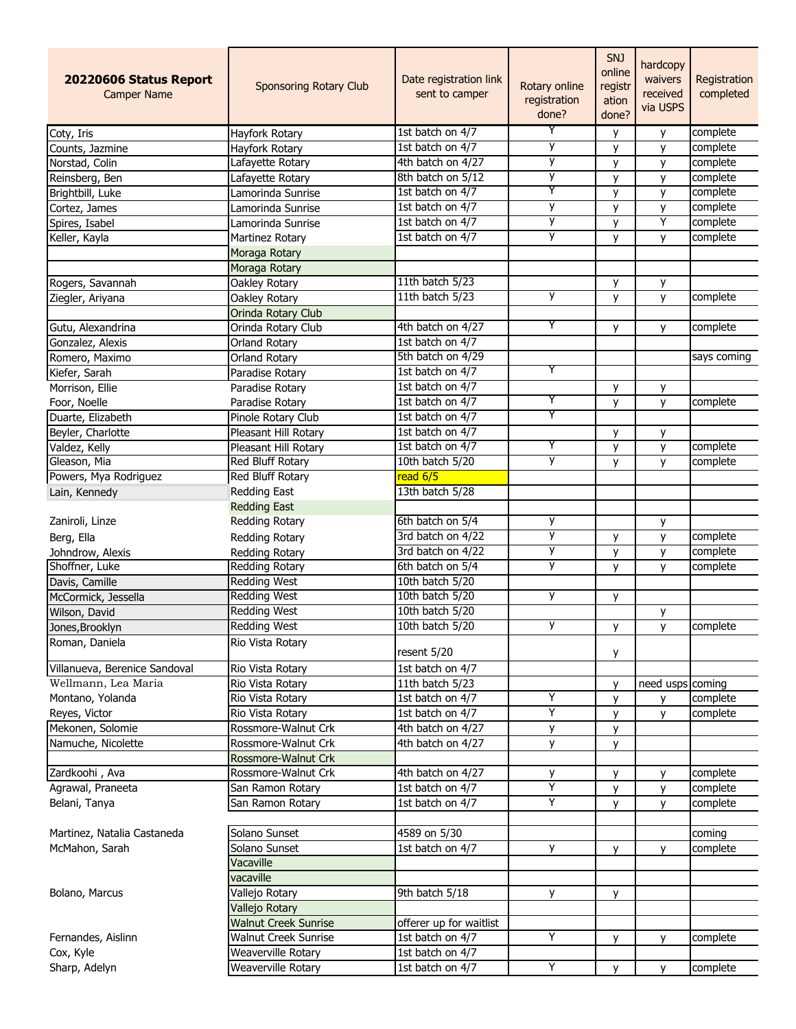| 20220606 Status Report<br><b>Camper Name</b> | <b>Sponsoring Rotary Club</b> | Date registration link<br>sent to camper | Rotary online<br>registration<br>done? | <b>SNJ</b><br>online<br>registr<br>ation<br>done? | hardcopy<br>waivers<br>received<br>via USPS | Registration<br>completed |
|----------------------------------------------|-------------------------------|------------------------------------------|----------------------------------------|---------------------------------------------------|---------------------------------------------|---------------------------|
| Coty, Iris                                   | Hayfork Rotary                | 1st batch on 4/7                         | Y                                      | y                                                 | y                                           | complete                  |
| Counts, Jazmine                              | Hayfork Rotary                | 1st batch on 4/7                         | y                                      | y                                                 | y                                           | complete                  |
| Norstad, Colin                               | Lafayette Rotary              | 4th batch on 4/27                        | у                                      | y                                                 | y                                           | complete                  |
| Reinsberg, Ben                               | Lafayette Rotary              | 8th batch on 5/12                        | у                                      | y                                                 | у                                           | complete                  |
| Brightbill, Luke                             | Lamorinda Sunrise             | 1st batch on 4/7                         | Y                                      | y                                                 | y                                           | complete                  |
| Cortez, James                                | Lamorinda Sunrise             | 1st batch on 4/7                         | у                                      | y                                                 | у                                           | complete                  |
| Spires, Isabel                               | Lamorinda Sunrise             | 1st batch on 4/7                         | y                                      | y                                                 | Υ                                           | complete                  |
| Keller, Kayla                                | Martinez Rotary               | 1st batch on 4/7                         | y                                      | y                                                 | y                                           | complete                  |
|                                              | Moraga Rotary                 |                                          |                                        |                                                   |                                             |                           |
|                                              | Moraga Rotary                 |                                          |                                        |                                                   |                                             |                           |
| Rogers, Savannah                             | Oakley Rotary                 | 11th batch 5/23                          |                                        | У                                                 | y                                           |                           |
| Ziegler, Ariyana                             | Oakley Rotary                 | 11th batch 5/23                          | y                                      | y                                                 | y                                           | complete                  |
|                                              | Orinda Rotary Club            |                                          |                                        |                                                   |                                             |                           |
| Gutu, Alexandrina                            | Orinda Rotary Club            | 4th batch on 4/27                        | Y                                      | у                                                 | y                                           | complete                  |
| Gonzalez, Alexis                             | <b>Orland Rotary</b>          | 1st batch on 4/7                         |                                        |                                                   |                                             |                           |
| Romero, Maximo                               | <b>Orland Rotary</b>          | 5th batch on 4/29                        |                                        |                                                   |                                             | says coming               |
| Kiefer, Sarah                                | Paradise Rotary               | 1st batch on 4/7                         | Y                                      |                                                   |                                             |                           |
| Morrison, Ellie                              | Paradise Rotary               | 1st batch on 4/7                         |                                        | y                                                 | у                                           |                           |
| Foor, Noelle                                 | Paradise Rotary               | 1st batch on 4/7                         | Y                                      | y                                                 | y                                           | complete                  |
| Duarte, Elizabeth                            | Pinole Rotary Club            | 1st batch on 4/7                         | Y                                      |                                                   |                                             |                           |
| Beyler, Charlotte                            | Pleasant Hill Rotary          | 1st batch on 4/7                         |                                        | y                                                 | у                                           |                           |
| Valdez, Kelly                                | Pleasant Hill Rotary          | 1st batch on 4/7                         | Y                                      | y                                                 | y                                           | complete                  |
| Gleason, Mia                                 | <b>Red Bluff Rotary</b>       | 10th batch 5/20                          | у                                      | V                                                 | y                                           | complete                  |
| Powers, Mya Rodriguez                        | Red Bluff Rotary              | read 6/5                                 |                                        |                                                   |                                             |                           |
| Lain, Kennedy                                | <b>Redding East</b>           | 13th batch 5/28                          |                                        |                                                   |                                             |                           |
|                                              | <b>Redding East</b>           |                                          |                                        |                                                   |                                             |                           |
| Zaniroli, Linze                              | Redding Rotary                | 6th batch on 5/4                         | y                                      |                                                   | y                                           |                           |
| Berg, Ella                                   | Redding Rotary                | 3rd batch on 4/22                        | у                                      |                                                   |                                             | complete                  |
| Johndrow, Alexis                             | Redding Rotary                | 3rd batch on 4/22                        | у                                      | у                                                 | у                                           | complete                  |
| Shoffner, Luke                               | <b>Redding Rotary</b>         | 6th batch on 5/4                         | y                                      | y                                                 | y                                           | complete                  |
|                                              | <b>Redding West</b>           | 10th batch 5/20                          |                                        | у                                                 | У                                           |                           |
| Davis, Camille                               | <b>Redding West</b>           | 10th batch 5/20                          | у                                      |                                                   |                                             |                           |
| McCormick, Jessella                          | <b>Redding West</b>           | 10th batch 5/20                          |                                        | у                                                 |                                             |                           |
| Wilson, David                                | <b>Redding West</b>           | 10th batch 5/20                          | y                                      |                                                   | у                                           | complete                  |
| Jones, Brooklyn<br>Roman, Daniela            | Rio Vista Rotary              |                                          |                                        | y                                                 | $\overline{y}$                              |                           |
|                                              |                               | resent 5/20                              |                                        | у                                                 |                                             |                           |
| Villanueva, Berenice Sandoval                | Rio Vista Rotary              | 1st batch on 4/7                         |                                        |                                                   |                                             |                           |
| Wellmann, Lea Maria                          | Rio Vista Rotary              | 11th batch 5/23                          |                                        | y                                                 | need usps coming                            |                           |
| Montano, Yolanda                             | Rio Vista Rotary              | 1st batch on 4/7                         | Y                                      | у                                                 | y                                           | complete                  |
| Reyes, Victor                                | Rio Vista Rotary              | 1st batch on 4/7                         | Υ                                      | y                                                 | у                                           | complete                  |
| Mekonen, Solomie                             | Rossmore-Walnut Crk           | 4th batch on 4/27                        | у                                      | у                                                 |                                             |                           |
| Namuche, Nicolette                           | Rossmore-Walnut Crk           | 4th batch on 4/27                        | y                                      | v                                                 |                                             |                           |
|                                              | Rossmore-Walnut Crk           |                                          |                                        |                                                   |                                             |                           |
| Zardkoohi, Ava                               | Rossmore-Walnut Crk           | 4th batch on 4/27                        | у                                      | У                                                 | y                                           | complete                  |
| Agrawal, Praneeta                            | San Ramon Rotary              | 1st batch on 4/7                         | Y                                      | v                                                 | y                                           | complete                  |
| Belani, Tanya                                | San Ramon Rotary              | 1st batch on 4/7                         | Y                                      | v                                                 | y                                           | complete                  |
| Martinez, Natalia Castaneda                  | Solano Sunset                 | 4589 on 5/30                             |                                        |                                                   |                                             | coming                    |
| McMahon, Sarah                               | Solano Sunset                 | 1st batch on 4/7                         | y                                      | У                                                 | y                                           | complete                  |
|                                              | Vacaville                     |                                          |                                        |                                                   |                                             |                           |
|                                              | vacaville                     |                                          |                                        |                                                   |                                             |                           |
| Bolano, Marcus                               | Vallejo Rotary                | 9th batch 5/18                           | y                                      | у                                                 |                                             |                           |
|                                              | Vallejo Rotary                |                                          |                                        |                                                   |                                             |                           |
|                                              | <b>Walnut Creek Sunrise</b>   | offerer up for waitlist                  |                                        |                                                   |                                             |                           |
| Fernandes, Aislinn                           | <b>Walnut Creek Sunrise</b>   | 1st batch on 4/7                         | Y                                      | У                                                 | y                                           | complete                  |
| Cox, Kyle                                    | Weaverville Rotary            | 1st batch on 4/7                         |                                        |                                                   |                                             |                           |
| Sharp, Adelyn                                | Weaverville Rotary            | 1st batch on 4/7                         | Y                                      | y                                                 | V                                           | complete                  |
|                                              |                               |                                          |                                        |                                                   |                                             |                           |